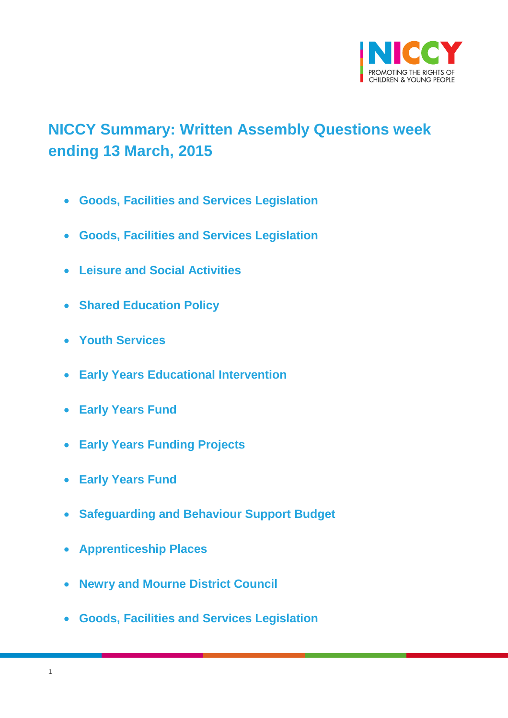

# <span id="page-0-0"></span>**NICCY Summary: Written Assembly Questions week ending 13 March, 2015**

- **[Goods, Facilities and Services Legislation](#page-2-0)**
- **[Goods, Facilities and Services Legislation](#page-2-1)**
- **[Leisure and Social Activities](#page-3-0)**
- **[Shared Education Policy](#page-6-0)**
- **[Youth Services](#page-6-1)**
- **[Early Years Educational Intervention](#page-7-0)**
- **[Early Years Fund](#page-7-1)**
- **[Early Years Funding Projects](#page-8-0)**
- **[Early Years Fund](#page-14-0)**
- **[Safeguarding and Behaviour Support Budget](#page-15-0)**
- **[Apprenticeship Places](#page-16-0)**
- **[Newry and Mourne District Council](#page-17-0)**
- **[Goods, Facilities and Services Legislation](#page-18-0)**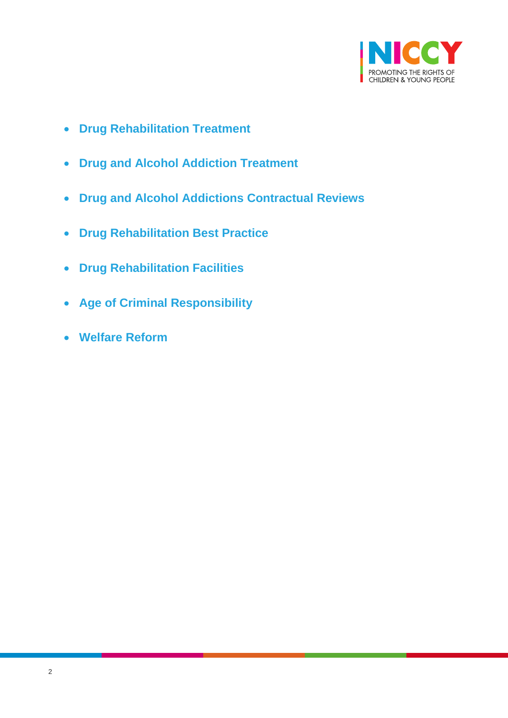

- **[Drug Rehabilitation Treatment](#page-19-0)**
- **[Drug and Alcohol Addiction Treatment](#page-19-1)**
- **[Drug and Alcohol Addictions Contractual Reviews](#page-20-0)**
- **[Drug Rehabilitation Best Practice](#page-21-0)**
- **[Drug Rehabilitation Facilities](#page-22-0)**
- **[Age of Criminal Responsibility](#page-23-0)**
- **[Welfare Reform](#page-24-0)**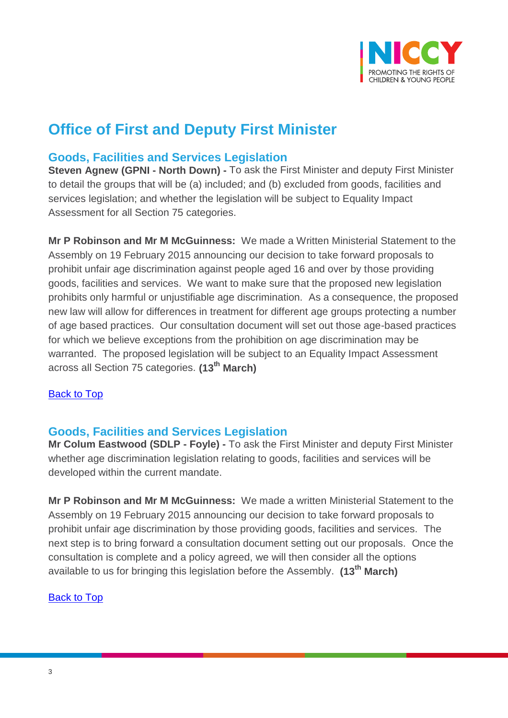

# **Office of First and Deputy First Minister**

### <span id="page-2-0"></span>**Goods, Facilities and Services Legislation**

**Steven Agnew (GPNI - North Down) -** To ask the First Minister and deputy First Minister to detail the groups that will be (a) included; and (b) excluded from goods, facilities and services legislation; and whether the legislation will be subject to Equality Impact Assessment for all Section 75 categories.

**Mr P Robinson and Mr M McGuinness:** We made a Written Ministerial Statement to the Assembly on 19 February 2015 announcing our decision to take forward proposals to prohibit unfair age discrimination against people aged 16 and over by those providing goods, facilities and services. We want to make sure that the proposed new legislation prohibits only harmful or unjustifiable age discrimination. As a consequence, the proposed new law will allow for differences in treatment for different age groups protecting a number of age based practices. Our consultation document will set out those age-based practices for which we believe exceptions from the prohibition on age discrimination may be warranted. The proposed legislation will be subject to an Equality Impact Assessment across all Section 75 categories. **(13th March)**

### [Back to Top](#page-0-0)

### <span id="page-2-1"></span>**Goods, Facilities and Services Legislation**

**Mr Colum Eastwood (SDLP - Foyle) -** To ask the First Minister and deputy First Minister whether age discrimination legislation relating to goods, facilities and services will be developed within the current mandate.

**Mr P Robinson and Mr M McGuinness:** We made a written Ministerial Statement to the Assembly on 19 February 2015 announcing our decision to take forward proposals to prohibit unfair age discrimination by those providing goods, facilities and services. The next step is to bring forward a consultation document setting out our proposals. Once the consultation is complete and a policy agreed, we will then consider all the options available to us for bringing this legislation before the Assembly. **(13th March)**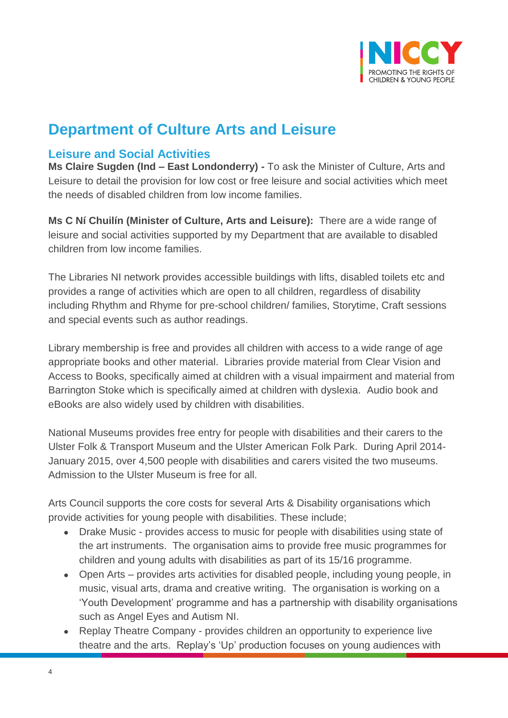

# **Department of Culture Arts and Leisure**

### <span id="page-3-0"></span>**Leisure and Social Activities**

**Ms Claire Sugden (Ind – East Londonderry) -** To ask the Minister of Culture, Arts and Leisure to detail the provision for low cost or free leisure and social activities which meet the needs of disabled children from low income families.

**Ms C Ní Chuilín (Minister of Culture, Arts and Leisure):** There are a wide range of leisure and social activities supported by my Department that are available to disabled children from low income families.

The Libraries NI network provides accessible buildings with lifts, disabled toilets etc and provides a range of activities which are open to all children, regardless of disability including Rhythm and Rhyme for pre-school children/ families, Storytime, Craft sessions and special events such as author readings.

Library membership is free and provides all children with access to a wide range of age appropriate books and other material. Libraries provide material from Clear Vision and Access to Books, specifically aimed at children with a visual impairment and material from Barrington Stoke which is specifically aimed at children with dyslexia. Audio book and eBooks are also widely used by children with disabilities.

National Museums provides free entry for people with disabilities and their carers to the Ulster Folk & Transport Museum and the Ulster American Folk Park. During April 2014- January 2015, over 4,500 people with disabilities and carers visited the two museums. Admission to the Ulster Museum is free for all.

Arts Council supports the core costs for several Arts & Disability organisations which provide activities for young people with disabilities. These include;

- Drake Music provides access to music for people with disabilities using state of the art instruments. The organisation aims to provide free music programmes for children and young adults with disabilities as part of its 15/16 programme.
- Open Arts provides arts activities for disabled people, including young people, in music, visual arts, drama and creative writing. The organisation is working on a 'Youth Development' programme and has a partnership with disability organisations such as Angel Eyes and Autism NI.
- Replay Theatre Company provides children an opportunity to experience live theatre and the arts. Replay's 'Up' production focuses on young audiences with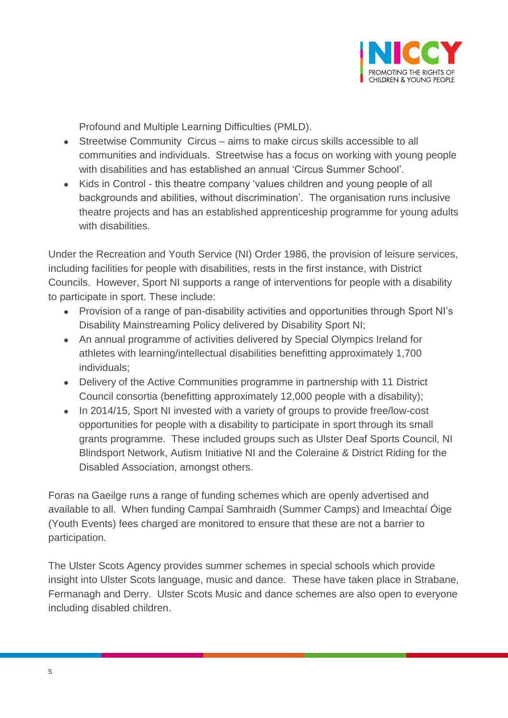

Profound and Multiple Learning Difficulties (PMLD).

- Streetwise Community Circus aims to make circus skills accessible to all communities and individuals. Streetwise has a focus on working with young people with disabilities and has established an annual 'Circus Summer School'.
- Kids in Control this theatre company 'values children and young people of all backgrounds and abilities, without discrimination'. The organisation runs inclusive theatre projects and has an established apprenticeship programme for young adults with disabilities.

Under the Recreation and Youth Service (NI) Order 1986, the provision of leisure services, including facilities for people with disabilities, rests in the first instance, with District Councils. However, Sport NI supports a range of interventions for people with a disability to participate in sport. These include:

- Provision of a range of pan-disability activities and opportunities through Sport NI's Disability Mainstreaming Policy delivered by Disability Sport NI;
- An annual programme of activities delivered by Special Olympics Ireland for athletes with learning/intellectual disabilities benefitting approximately 1,700 individuals;
- Delivery of the Active Communities programme in partnership with 11 District Council consortia (benefitting approximately 12,000 people with a disability);
- In 2014/15, Sport NI invested with a variety of groups to provide free/low-cost opportunities for people with a disability to participate in sport through its small grants programme. These included groups such as Ulster Deaf Sports Council, NI Blindsport Network, Autism Initiative NI and the Coleraine & District Riding for the Disabled Association, amongst others.

Foras na Gaeilge runs a range of funding schemes which are openly advertised and available to all. When funding Campaí Samhraidh (Summer Camps) and Imeachtaí Óige (Youth Events) fees charged are monitored to ensure that these are not a barrier to participation.

The Ulster Scots Agency provides summer schemes in special schools which provide insight into Ulster Scots language, music and dance. These have taken place in Strabane, Fermanagh and Derry. Ulster Scots Music and dance schemes are also open to everyone including disabled children.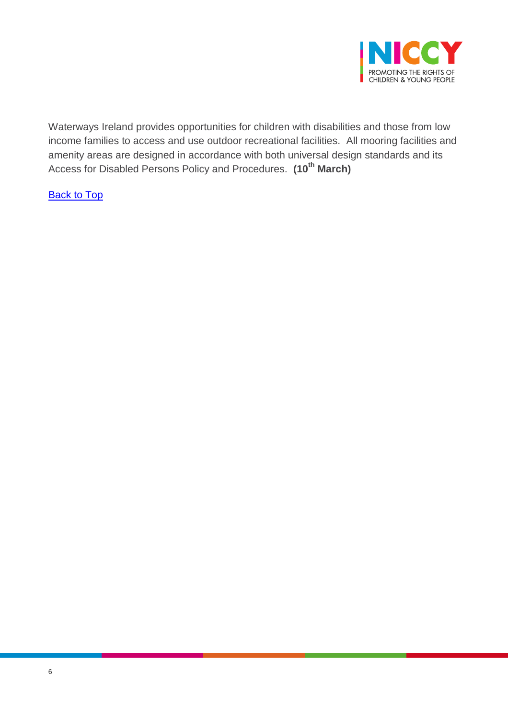

Waterways Ireland provides opportunities for children with disabilities and those from low income families to access and use outdoor recreational facilities. All mooring facilities and amenity areas are designed in accordance with both universal design standards and its Access for Disabled Persons Policy and Procedures. **(10th March)**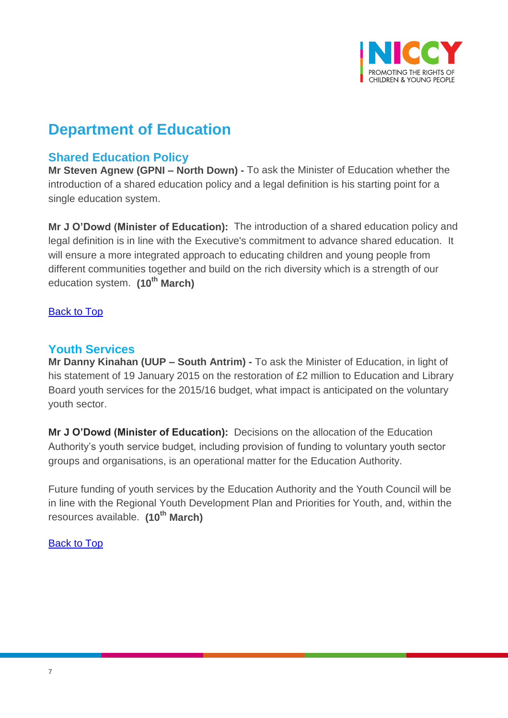

# **Department of Education**

## <span id="page-6-0"></span>**Shared Education Policy**

**Mr Steven Agnew (GPNI – North Down) -** To ask the Minister of Education whether the introduction of a shared education policy and a legal definition is his starting point for a single education system.

**Mr J O'Dowd (Minister of Education):** The introduction of a shared education policy and legal definition is in line with the Executive's commitment to advance shared education. It will ensure a more integrated approach to educating children and young people from different communities together and build on the rich diversity which is a strength of our education system. **(10th March)**

#### **[Back to Top](#page-0-0)**

### <span id="page-6-1"></span>**Youth Services**

**Mr Danny Kinahan (UUP – South Antrim) -** To ask the Minister of Education, in light of his statement of 19 January 2015 on the restoration of £2 million to Education and Library Board youth services for the 2015/16 budget, what impact is anticipated on the voluntary youth sector.

**Mr J O'Dowd (Minister of Education):** Decisions on the allocation of the Education Authority's youth service budget, including provision of funding to voluntary youth sector groups and organisations, is an operational matter for the Education Authority.

Future funding of youth services by the Education Authority and the Youth Council will be in line with the Regional Youth Development Plan and Priorities for Youth, and, within the resources available. **(10th March)**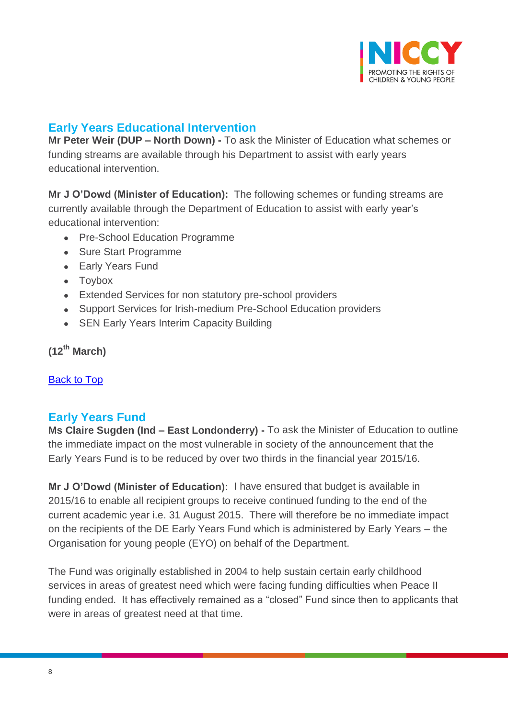

# <span id="page-7-0"></span>**Early Years Educational Intervention**

**Mr Peter Weir (DUP – North Down) -** To ask the Minister of Education what schemes or funding streams are available through his Department to assist with early years educational intervention.

**Mr J O'Dowd (Minister of Education):** The following schemes or funding streams are currently available through the Department of Education to assist with early year's educational intervention:

- Pre-School Education Programme
- Sure Start Programme
- Early Years Fund
- Toybox
- Extended Services for non statutory pre-school providers
- Support Services for Irish-medium Pre-School Education providers
- SEN Early Years Interim Capacity Building

**(12th March)**

[Back to Top](#page-0-0)

### <span id="page-7-1"></span>**Early Years Fund**

**Ms Claire Sugden (Ind – East Londonderry) -** To ask the Minister of Education to outline the immediate impact on the most vulnerable in society of the announcement that the Early Years Fund is to be reduced by over two thirds in the financial year 2015/16.

**Mr J O'Dowd (Minister of Education):** I have ensured that budget is available in 2015/16 to enable all recipient groups to receive continued funding to the end of the current academic year i.e. 31 August 2015. There will therefore be no immediate impact on the recipients of the DE Early Years Fund which is administered by Early Years – the Organisation for young people (EYO) on behalf of the Department.

The Fund was originally established in 2004 to help sustain certain early childhood services in areas of greatest need which were facing funding difficulties when Peace II funding ended. It has effectively remained as a "closed" Fund since then to applicants that were in areas of greatest need at that time.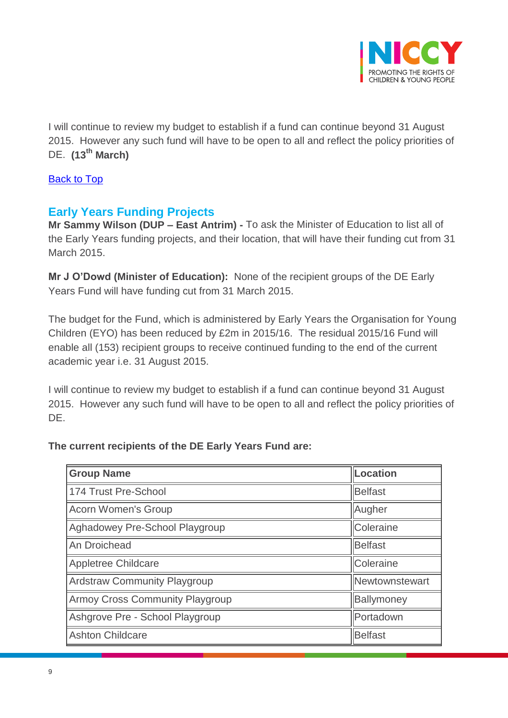

I will continue to review my budget to establish if a fund can continue beyond 31 August 2015. However any such fund will have to be open to all and reflect the policy priorities of DE. **(13th March)**

### [Back to Top](#page-0-0)

## <span id="page-8-0"></span>**Early Years Funding Projects**

**Mr Sammy Wilson (DUP – East Antrim) -** To ask the Minister of Education to list all of the Early Years funding projects, and their location, that will have their funding cut from 31 March 2015.

**Mr J O'Dowd (Minister of Education):** None of the recipient groups of the DE Early Years Fund will have funding cut from 31 March 2015.

The budget for the Fund, which is administered by Early Years the Organisation for Young Children (EYO) has been reduced by £2m in 2015/16. The residual 2015/16 Fund will enable all (153) recipient groups to receive continued funding to the end of the current academic year i.e. 31 August 2015.

I will continue to review my budget to establish if a fund can continue beyond 31 August 2015. However any such fund will have to be open to all and reflect the policy priorities of DE.

### **The current recipients of the DE Early Years Fund are:**

| Location<br><b>Group Name</b>               |                |  |
|---------------------------------------------|----------------|--|
| 174 Trust Pre-School<br>Belfast             |                |  |
| <b>Acorn Women's Group</b><br>Augher        |                |  |
| Coleraine<br>Aghadowey Pre-School Playgroup |                |  |
| An Droichead                                | Belfast        |  |
| <b>Appletree Childcare</b>                  | Coleraine      |  |
| <b>Ardstraw Community Playgroup</b>         | Newtownstewart |  |
| <b>Armoy Cross Community Playgroup</b>      | Ballymoney     |  |
| Ashgrove Pre - School Playgroup             | Portadown      |  |
| <b>Ashton Childcare</b><br>Belfast          |                |  |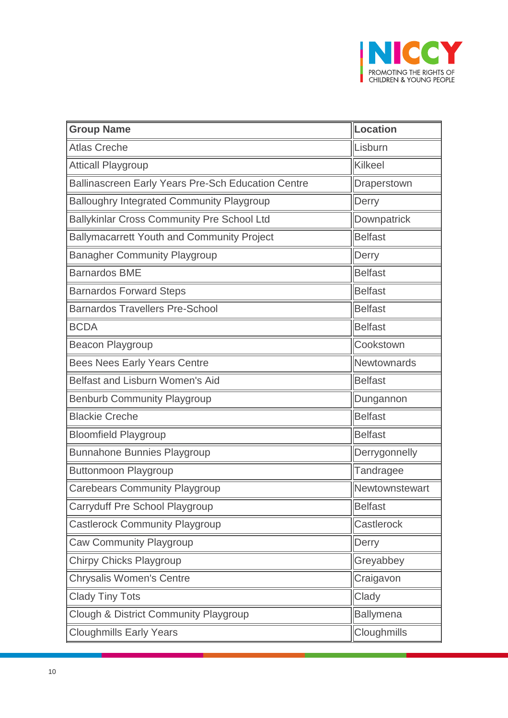

| <b>Group Name</b>                                         | Location         |  |
|-----------------------------------------------------------|------------------|--|
| Lisburn<br><b>Atlas Creche</b>                            |                  |  |
| <b>Atticall Playgroup</b>                                 | Kilkeel          |  |
| <b>Ballinascreen Early Years Pre-Sch Education Centre</b> | Draperstown      |  |
| <b>Balloughry Integrated Community Playgroup</b>          | Derry            |  |
| Ballykinlar Cross Community Pre School Ltd                | Downpatrick      |  |
| <b>Ballymacarrett Youth and Community Project</b>         | <b>Belfast</b>   |  |
| <b>Banagher Community Playgroup</b>                       | Derry            |  |
| <b>Barnardos BME</b>                                      | <b>Belfast</b>   |  |
| <b>Barnardos Forward Steps</b>                            | <b>Belfast</b>   |  |
| <b>Barnardos Travellers Pre-School</b>                    | <b>Belfast</b>   |  |
| <b>BCDA</b>                                               | <b>Belfast</b>   |  |
| Beacon Playgroup<br>Cookstown                             |                  |  |
| <b>Bees Nees Early Years Centre</b>                       | Newtownards      |  |
| Belfast and Lisburn Women's Aid                           | <b>Belfast</b>   |  |
| <b>Benburb Community Playgroup</b>                        | Dungannon        |  |
| <b>Blackie Creche</b>                                     | <b>Belfast</b>   |  |
| <b>Bloomfield Playgroup</b>                               | <b>Belfast</b>   |  |
| <b>Bunnahone Bunnies Playgroup</b>                        | Derrygonnelly    |  |
| <b>Buttonmoon Playgroup</b>                               | Tandragee        |  |
| <b>Carebears Community Playgroup</b>                      | Newtownstewart   |  |
| Carryduff Pre School Playgroup                            | <b>Belfast</b>   |  |
| <b>Castlerock Community Playgroup</b>                     | Castlerock       |  |
| Caw Community Playgroup                                   | Derry            |  |
| Chirpy Chicks Playgroup                                   | Greyabbey        |  |
| <b>Chrysalis Women's Centre</b><br>Craigavon              |                  |  |
| <b>Clady Tiny Tots</b>                                    | Clady            |  |
| Clough & District Community Playgroup                     | <b>Ballymena</b> |  |
| <b>Cloughmills Early Years</b><br><b>Cloughmills</b>      |                  |  |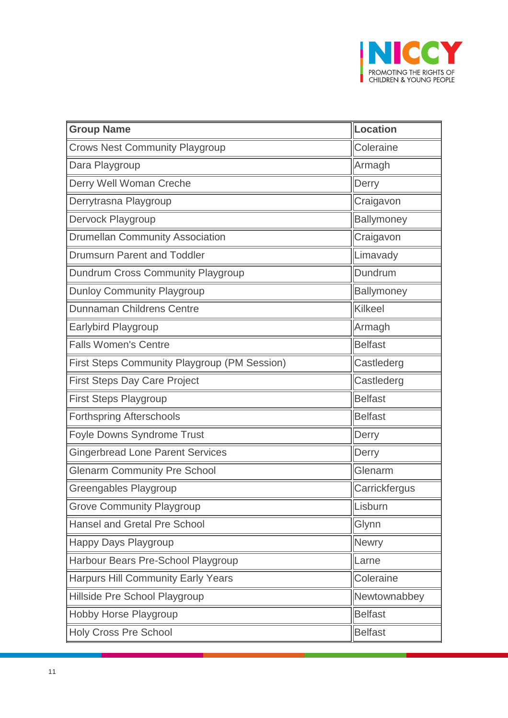

| <b>Group Name</b>                                          | Location       |  |
|------------------------------------------------------------|----------------|--|
| <b>Crows Nest Community Playgroup</b>                      | Coleraine      |  |
| Dara Playgroup                                             | Armagh         |  |
| Derry Well Woman Creche                                    | Derry          |  |
| Derrytrasna Playgroup                                      | Craigavon      |  |
| Dervock Playgroup                                          | Ballymoney     |  |
| <b>Drumellan Community Association</b>                     | Craigavon      |  |
| <b>Drumsurn Parent and Toddler</b>                         | Limavady       |  |
| Dundrum Cross Community Playgroup                          | Dundrum        |  |
| Ballymoney<br><b>Dunloy Community Playgroup</b>            |                |  |
| <b>Dunnaman Childrens Centre</b>                           | Kilkeel        |  |
| <b>Earlybird Playgroup</b><br>Armagh                       |                |  |
| <b>Falls Women's Centre</b><br><b>Belfast</b>              |                |  |
| First Steps Community Playgroup (PM Session)<br>Castlederg |                |  |
| <b>First Steps Day Care Project</b><br>Castlederg          |                |  |
| First Steps Playgroup                                      | <b>Belfast</b> |  |
| <b>Forthspring Afterschools</b>                            | <b>Belfast</b> |  |
| Foyle Downs Syndrome Trust                                 | Derry          |  |
| <b>Gingerbread Lone Parent Services</b>                    | Derry          |  |
| <b>Glenarm Community Pre School</b>                        | Glenarm        |  |
| Greengables Playgroup                                      | Carrickfergus  |  |
| <b>Grove Community Playgroup</b>                           | Lisburn        |  |
| <b>Hansel and Gretal Pre School</b>                        | Glynn          |  |
| Happy Days Playgroup                                       | <b>Newry</b>   |  |
| Harbour Bears Pre-School Playgroup                         | Larne          |  |
| <b>Harpurs Hill Community Early Years</b>                  | Coleraine      |  |
| Hillside Pre School Playgroup                              | Newtownabbey   |  |
| Hobby Horse Playgroup                                      | <b>Belfast</b> |  |
| Holy Cross Pre School<br><b>Belfast</b>                    |                |  |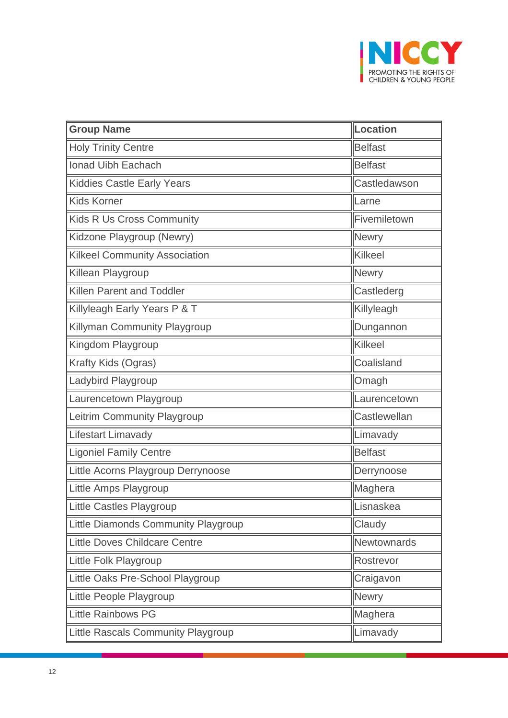

| <b>Group Name</b>                              | Location       |  |
|------------------------------------------------|----------------|--|
| <b>Holy Trinity Centre</b>                     | <b>Belfast</b> |  |
| Ionad Uibh Eachach                             | <b>Belfast</b> |  |
| <b>Kiddies Castle Early Years</b>              | Castledawson   |  |
| <b>Kids Korner</b>                             | Larne          |  |
| <b>Kids R Us Cross Community</b>               | Fivemiletown   |  |
| Kidzone Playgroup (Newry)                      | <b>Newry</b>   |  |
| <b>Kilkeel Community Association</b>           | Kilkeel        |  |
| Killean Playgroup                              | Newry          |  |
| Castlederg<br><b>Killen Parent and Toddler</b> |                |  |
| Killyleagh Early Years P & T                   | Killyleagh     |  |
| Killyman Community Playgroup<br>Dungannon      |                |  |
| Kilkeel<br>Kingdom Playgroup                   |                |  |
| Coalisland<br>Krafty Kids (Ogras)              |                |  |
| Ladybird Playgroup                             | Omagh          |  |
| Laurencetown Playgroup                         | Laurencetown   |  |
| Leitrim Community Playgroup                    | Castlewellan   |  |
| Lifestart Limavady                             | Limavady       |  |
| <b>Ligoniel Family Centre</b>                  | <b>Belfast</b> |  |
| Little Acorns Playgroup Derrynoose             | Derrynoose     |  |
| Little Amps Playgroup                          | Maghera        |  |
| Little Castles Playgroup                       | Lisnaskea      |  |
| Little Diamonds Community Playgroup            | Claudy         |  |
| <b>Little Doves Childcare Centre</b>           | Newtownards    |  |
| Little Folk Playgroup                          | Rostrevor      |  |
| Little Oaks Pre-School Playgroup               | Craigavon      |  |
| Little People Playgroup                        | <b>Newry</b>   |  |
| <b>Little Rainbows PG</b>                      | Maghera        |  |
| Little Rascals Community Playgroup             | Limavady       |  |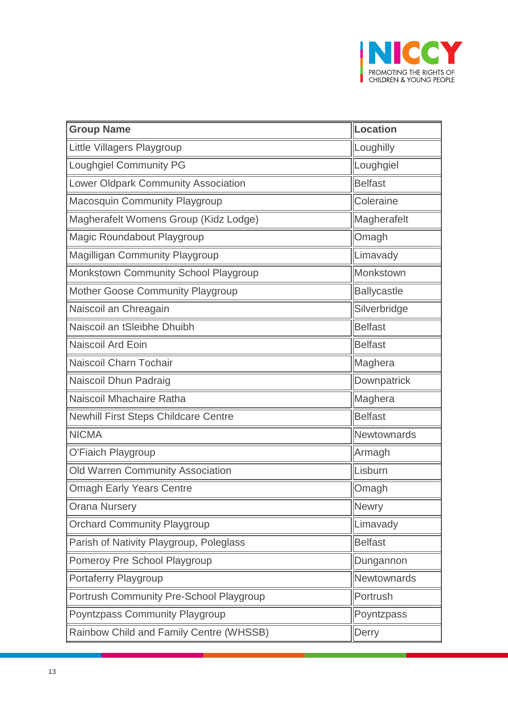

| <b>Group Name</b>                                | Location           |  |
|--------------------------------------------------|--------------------|--|
| Loughilly<br>Little Villagers Playgroup          |                    |  |
| <b>Loughgiel Community PG</b><br>Loughgiel       |                    |  |
| Lower Oldpark Community Association              | <b>Belfast</b>     |  |
| <b>Macosquin Community Playgroup</b>             | Coleraine          |  |
| Magherafelt Womens Group (Kidz Lodge)            | Magherafelt        |  |
| Magic Roundabout Playgroup                       | Omagh              |  |
| Magilligan Community Playgroup                   | Limavady           |  |
| Monkstown Community School Playgroup             | Monkstown          |  |
| <b>Mother Goose Community Playgroup</b>          | <b>Ballycastle</b> |  |
| Naiscoil an Chreagain                            | Silverbridge       |  |
| Naiscoil an tSleibhe Dhuibh<br><b>Belfast</b>    |                    |  |
| Naiscoil Ard Eoin                                | <b>Belfast</b>     |  |
| Naiscoil Charn Tochair                           | Maghera            |  |
| Naiscoil Dhun Padraig                            | Downpatrick        |  |
| Naiscoil Mhachaire Ratha                         | Maghera            |  |
| <b>Newhill First Steps Childcare Centre</b>      | <b>Belfast</b>     |  |
| <b>NICMA</b>                                     | Newtownards        |  |
| O'Fiaich Playgroup                               | Armagh             |  |
| <b>Old Warren Community Association</b>          | Lisburn            |  |
| <b>Omagh Early Years Centre</b>                  | Omagh              |  |
| <b>Orana Nursery</b><br>Newry                    |                    |  |
| <b>Orchard Community Playgroup</b>               | Limavady           |  |
| Parish of Nativity Playgroup, Poleglass          | <b>Belfast</b>     |  |
| Pomeroy Pre School Playgroup                     | Dungannon          |  |
| Portaferry Playgroup                             | Newtownards        |  |
| Portrush Community Pre-School Playgroup          | Portrush           |  |
| Poyntzpass Community Playgroup                   | Poyntzpass         |  |
| Rainbow Child and Family Centre (WHSSB)<br>Derry |                    |  |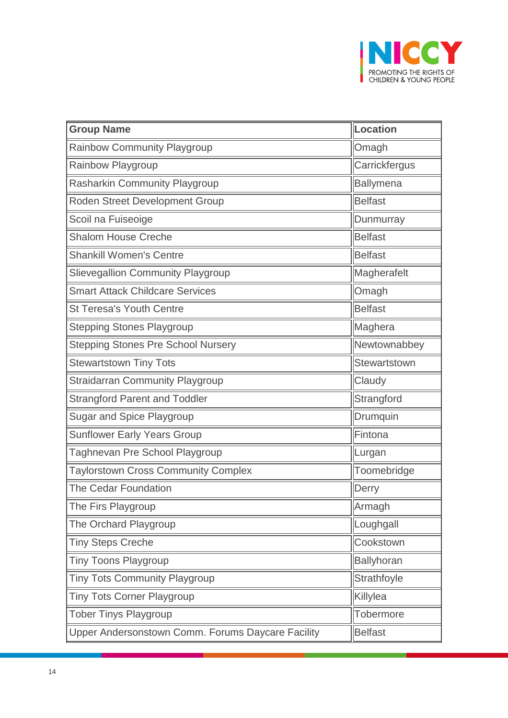

| <b>Group Name</b>                                                   | Location          |  |
|---------------------------------------------------------------------|-------------------|--|
| Rainbow Community Playgroup                                         | Omagh             |  |
| <b>Rainbow Playgroup</b>                                            | Carrickfergus     |  |
| Rasharkin Community Playgroup                                       | <b>Ballymena</b>  |  |
| Roden Street Development Group                                      | <b>Belfast</b>    |  |
| Scoil na Fuiseoige                                                  | Dunmurray         |  |
| <b>Shalom House Creche</b>                                          | <b>Belfast</b>    |  |
| <b>Shankill Women's Centre</b>                                      | <b>Belfast</b>    |  |
| <b>Slievegallion Community Playgroup</b>                            | Magherafelt       |  |
| <b>Smart Attack Childcare Services</b>                              | Omagh             |  |
| <b>St Teresa's Youth Centre</b>                                     | <b>Belfast</b>    |  |
| Maghera<br><b>Stepping Stones Playgroup</b>                         |                   |  |
| <b>Stepping Stones Pre School Nursery</b><br>Newtownabbey           |                   |  |
| <b>Stewartstown Tiny Tots</b><br>Stewartstown                       |                   |  |
| <b>Straidarran Community Playgroup</b>                              | Claudy            |  |
| <b>Strangford Parent and Toddler</b>                                | Strangford        |  |
| <b>Sugar and Spice Playgroup</b>                                    | Drumquin          |  |
| <b>Sunflower Early Years Group</b>                                  | Fintona           |  |
| Taghnevan Pre School Playgroup                                      | Lurgan            |  |
| <b>Taylorstown Cross Community Complex</b>                          | Toomebridge       |  |
| <b>The Cedar Foundation</b>                                         | Derry             |  |
| The Firs Playgroup                                                  | Armagh            |  |
| The Orchard Playgroup                                               | Loughgall         |  |
| <b>Tiny Steps Creche</b>                                            | Cookstown         |  |
| <b>Tiny Toons Playgroup</b>                                         | <b>Ballyhoran</b> |  |
| <b>Tiny Tots Community Playgroup</b><br>Strathfoyle                 |                   |  |
| <b>Tiny Tots Corner Playgroup</b>                                   | Killylea          |  |
| <b>Tober Tinys Playgroup</b>                                        | Tobermore         |  |
| <b>Belfast</b><br>Upper Andersonstown Comm. Forums Daycare Facility |                   |  |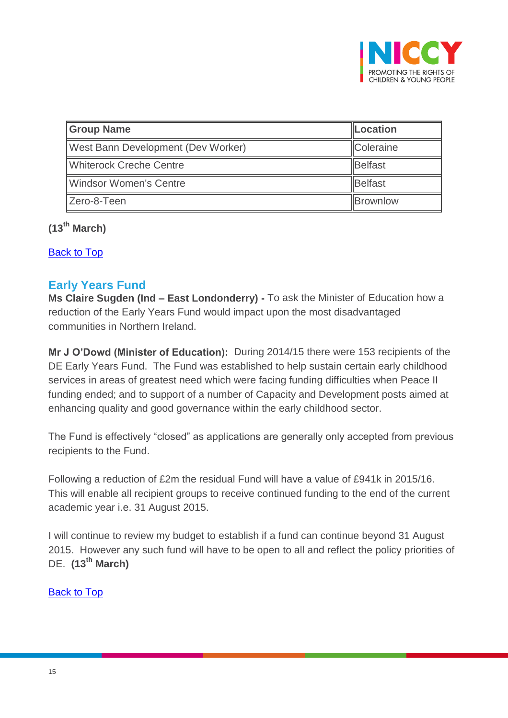

| <b>Group Name</b>                  | <b>Location</b>  |
|------------------------------------|------------------|
| West Bann Development (Dev Worker) | <b>Coleraine</b> |
| <b>Whiterock Creche Centre</b>     | Belfast          |
| <b>Windsor Women's Centre</b>      | <b>Belfast</b>   |
| Zero-8-Teen                        | <b>Brownlow</b>  |

**(13th March)**

[Back to Top](#page-0-0)

### <span id="page-14-0"></span>**Early Years Fund**

**Ms Claire Sugden (Ind – East Londonderry) -** To ask the Minister of Education how a reduction of the Early Years Fund would impact upon the most disadvantaged communities in Northern Ireland.

**Mr J O'Dowd (Minister of Education):** During 2014/15 there were 153 recipients of the DE Early Years Fund. The Fund was established to help sustain certain early childhood services in areas of greatest need which were facing funding difficulties when Peace II funding ended; and to support of a number of Capacity and Development posts aimed at enhancing quality and good governance within the early childhood sector.

The Fund is effectively "closed" as applications are generally only accepted from previous recipients to the Fund.

Following a reduction of £2m the residual Fund will have a value of £941k in 2015/16. This will enable all recipient groups to receive continued funding to the end of the current academic year i.e. 31 August 2015.

I will continue to review my budget to establish if a fund can continue beyond 31 August 2015. However any such fund will have to be open to all and reflect the policy priorities of DE. **(13th March)**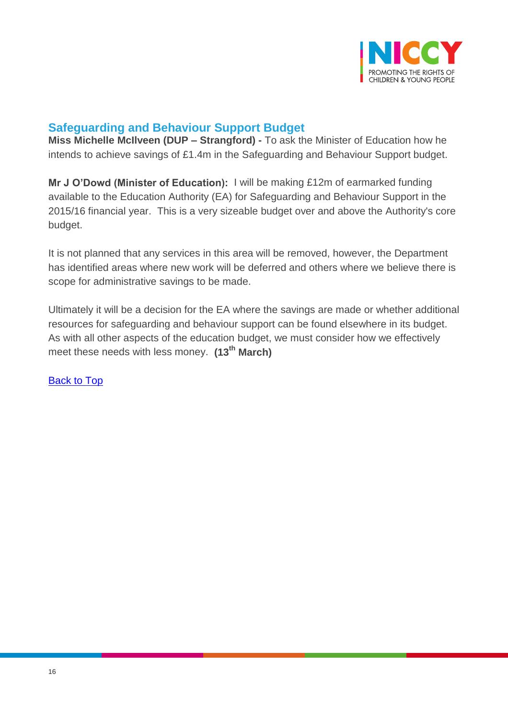

## <span id="page-15-0"></span>**Safeguarding and Behaviour Support Budget**

**Miss Michelle McIlveen (DUP – Strangford) -** To ask the Minister of Education how he intends to achieve savings of £1.4m in the Safeguarding and Behaviour Support budget.

**Mr J O'Dowd (Minister of Education):** I will be making £12m of earmarked funding available to the Education Authority (EA) for Safeguarding and Behaviour Support in the 2015/16 financial year. This is a very sizeable budget over and above the Authority's core budget.

It is not planned that any services in this area will be removed, however, the Department has identified areas where new work will be deferred and others where we believe there is scope for administrative savings to be made.

Ultimately it will be a decision for the EA where the savings are made or whether additional resources for safeguarding and behaviour support can be found elsewhere in its budget. As with all other aspects of the education budget, we must consider how we effectively meet these needs with less money. **(13th March)**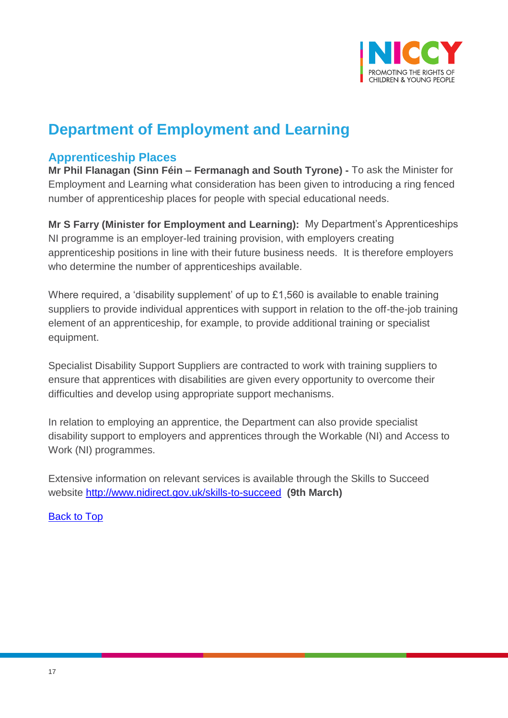

# **Department of Employment and Learning**

## <span id="page-16-0"></span>**Apprenticeship Places**

**Mr Phil Flanagan (Sinn Féin – Fermanagh and South Tyrone) -** To ask the Minister for Employment and Learning what consideration has been given to introducing a ring fenced number of apprenticeship places for people with special educational needs.

**Mr S Farry (Minister for Employment and Learning):** My Department's Apprenticeships NI programme is an employer-led training provision, with employers creating apprenticeship positions in line with their future business needs. It is therefore employers who determine the number of apprenticeships available.

Where required, a 'disability supplement' of up to £1,560 is available to enable training suppliers to provide individual apprentices with support in relation to the off-the-job training element of an apprenticeship, for example, to provide additional training or specialist equipment.

Specialist Disability Support Suppliers are contracted to work with training suppliers to ensure that apprentices with disabilities are given every opportunity to overcome their difficulties and develop using appropriate support mechanisms.

In relation to employing an apprentice, the Department can also provide specialist disability support to employers and apprentices through the Workable (NI) and Access to Work (NI) programmes.

Extensive information on relevant services is available through the Skills to Succeed website<http://www.nidirect.gov.uk/skills-to-succeed> **(9th March)**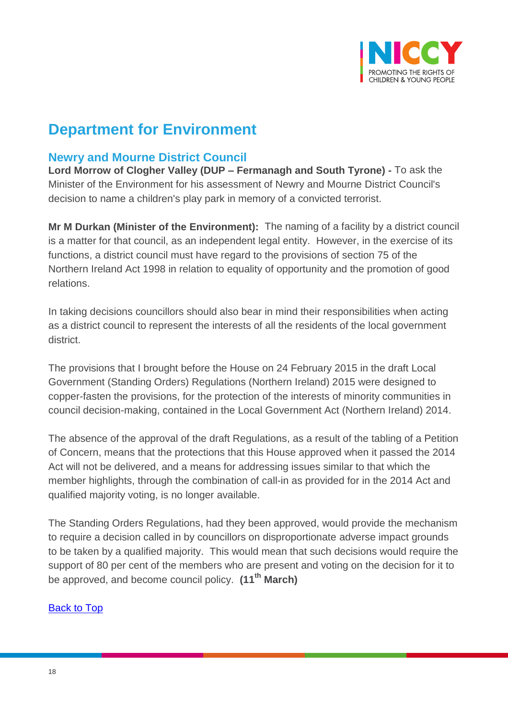

# **Department for Environment**

## <span id="page-17-0"></span>**Newry and Mourne District Council**

**Lord Morrow of Clogher Valley (DUP – Fermanagh and South Tyrone) -** To ask the Minister of the Environment for his assessment of Newry and Mourne District Council's decision to name a children's play park in memory of a convicted terrorist.

**Mr M Durkan (Minister of the Environment):** The naming of a facility by a district council is a matter for that council, as an independent legal entity. However, in the exercise of its functions, a district council must have regard to the provisions of section 75 of the Northern Ireland Act 1998 in relation to equality of opportunity and the promotion of good relations.

In taking decisions councillors should also bear in mind their responsibilities when acting as a district council to represent the interests of all the residents of the local government district.

The provisions that I brought before the House on 24 February 2015 in the draft Local Government (Standing Orders) Regulations (Northern Ireland) 2015 were designed to copper-fasten the provisions, for the protection of the interests of minority communities in council decision-making, contained in the Local Government Act (Northern Ireland) 2014.

The absence of the approval of the draft Regulations, as a result of the tabling of a Petition of Concern, means that the protections that this House approved when it passed the 2014 Act will not be delivered, and a means for addressing issues similar to that which the member highlights, through the combination of call-in as provided for in the 2014 Act and qualified majority voting, is no longer available.

The Standing Orders Regulations, had they been approved, would provide the mechanism to require a decision called in by councillors on disproportionate adverse impact grounds to be taken by a qualified majority. This would mean that such decisions would require the support of 80 per cent of the members who are present and voting on the decision for it to be approved, and become council policy. **(11th March)**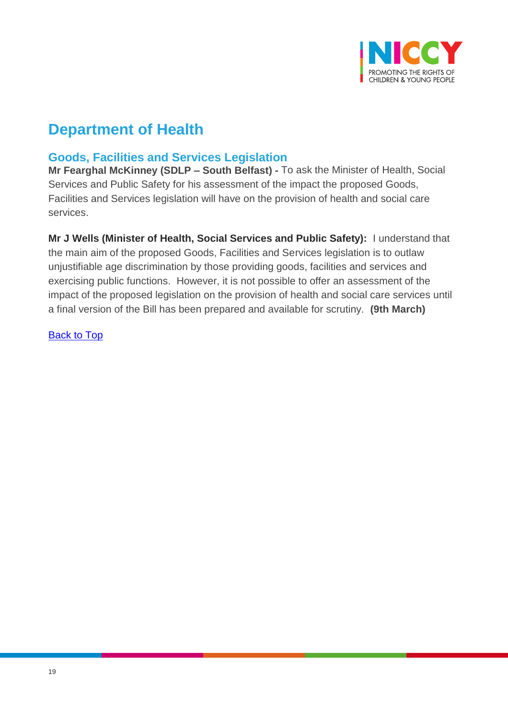

# **Department of Health**

## <span id="page-18-0"></span>**Goods, Facilities and Services Legislation**

**Mr Fearghal McKinney (SDLP – South Belfast) -** To ask the Minister of Health, Social Services and Public Safety for his assessment of the impact the proposed Goods, Facilities and Services legislation will have on the provision of health and social care services.

**Mr J Wells (Minister of Health, Social Services and Public Safety):** I understand that the main aim of the proposed Goods, Facilities and Services legislation is to outlaw unjustifiable age discrimination by those providing goods, facilities and services and exercising public functions. However, it is not possible to offer an assessment of the impact of the proposed legislation on the provision of health and social care services until a final version of the Bill has been prepared and available for scrutiny. **(9th March)**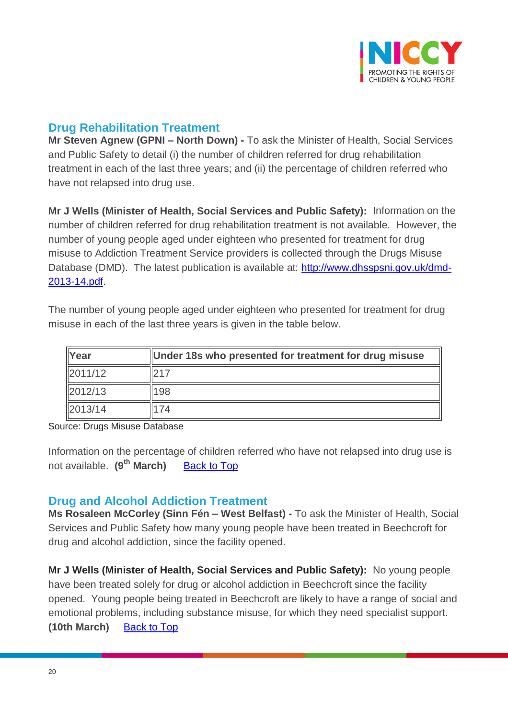

## <span id="page-19-0"></span>**Drug Rehabilitation Treatment**

**Mr Steven Agnew (GPNI – North Down) -** To ask the Minister of Health, Social Services and Public Safety to detail (i) the number of children referred for drug rehabilitation treatment in each of the last three years; and (ii) the percentage of children referred who have not relapsed into drug use.

**Mr J Wells (Minister of Health, Social Services and Public Safety):** Information on the number of children referred for drug rehabilitation treatment is not available. However, the number of young people aged under eighteen who presented for treatment for drug misuse to Addiction Treatment Service providers is collected through the Drugs Misuse Database (DMD). The latest publication is available at: [http://www.dhsspsni.gov.uk/dmd-](http://www.dhsspsni.gov.uk/dmd-2013-14.pdf)[2013-14.pdf.](http://www.dhsspsni.gov.uk/dmd-2013-14.pdf)

The number of young people aged under eighteen who presented for treatment for drug misuse in each of the last three years is given in the table below.

| $\vert$ Year  | Under 18s who presented for treatment for drug misuse |  |
|---------------|-------------------------------------------------------|--|
| 2011/12       |                                                       |  |
| $\ 2012/13\ $ | 198                                                   |  |
| 2013/14       | 74                                                    |  |

Source: Drugs Misuse Database

Information on the percentage of children referred who have not relapsed into drug use is not available. **(9th March)** [Back to Top](#page-0-0)

### <span id="page-19-1"></span>**Drug and Alcohol Addiction Treatment**

**Ms Rosaleen McCorley (Sinn Fén – West Belfast) -** To ask the Minister of Health, Social Services and Public Safety how many young people have been treated in Beechcroft for drug and alcohol addiction, since the facility opened.

**Mr J Wells (Minister of Health, Social Services and Public Safety):** No young people have been treated solely for drug or alcohol addiction in Beechcroft since the facility opened. Young people being treated in Beechcroft are likely to have a range of social and emotional problems, including substance misuse, for which they need specialist support. **(10th March)** [Back to Top](#page-0-0)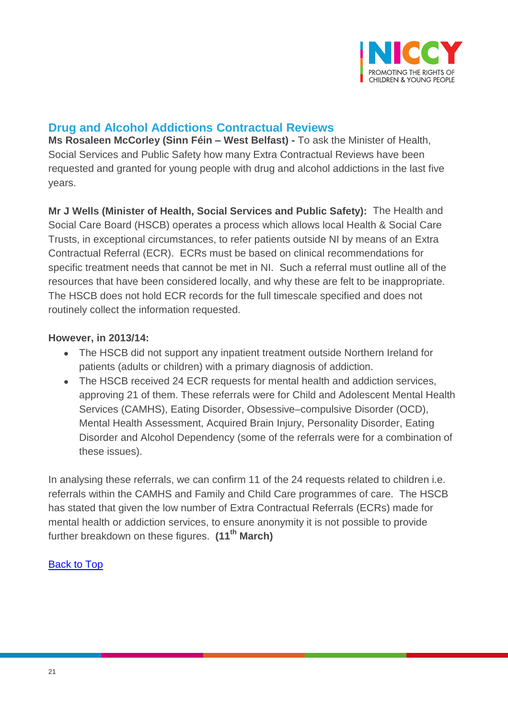

## <span id="page-20-0"></span>**Drug and Alcohol Addictions Contractual Reviews**

**Ms Rosaleen McCorley (Sinn Féin – West Belfast) -** To ask the Minister of Health, Social Services and Public Safety how many Extra Contractual Reviews have been requested and granted for young people with drug and alcohol addictions in the last five years.

**Mr J Wells (Minister of Health, Social Services and Public Safety):** The Health and Social Care Board (HSCB) operates a process which allows local Health & Social Care Trusts, in exceptional circumstances, to refer patients outside NI by means of an Extra Contractual Referral (ECR). ECRs must be based on clinical recommendations for specific treatment needs that cannot be met in NI. Such a referral must outline all of the resources that have been considered locally, and why these are felt to be inappropriate. The HSCB does not hold ECR records for the full timescale specified and does not routinely collect the information requested.

### **However, in 2013/14:**

- The HSCB did not support any inpatient treatment outside Northern Ireland for patients (adults or children) with a primary diagnosis of addiction.
- The HSCB received 24 ECR requests for mental health and addiction services, approving 21 of them. These referrals were for Child and Adolescent Mental Health Services (CAMHS), Eating Disorder, Obsessive–compulsive Disorder (OCD), Mental Health Assessment, Acquired Brain Injury, Personality Disorder, Eating Disorder and Alcohol Dependency (some of the referrals were for a combination of these issues).

In analysing these referrals, we can confirm 11 of the 24 requests related to children i.e. referrals within the CAMHS and Family and Child Care programmes of care. The HSCB has stated that given the low number of Extra Contractual Referrals (ECRs) made for mental health or addiction services, to ensure anonymity it is not possible to provide further breakdown on these figures. **(11th March)**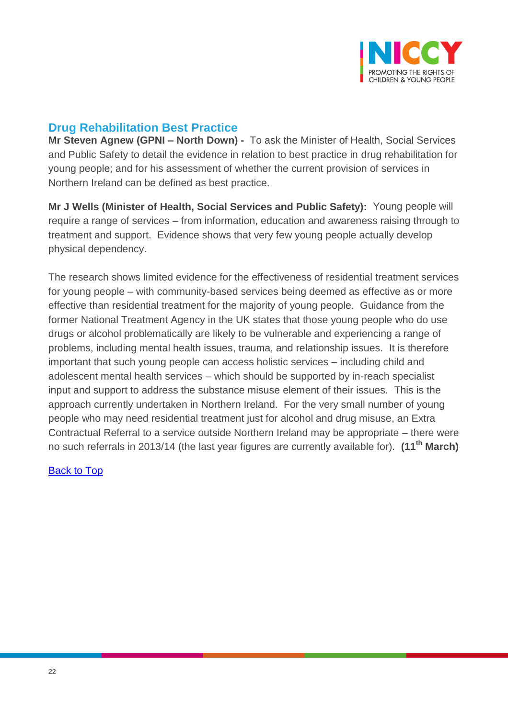

# <span id="page-21-0"></span>**Drug Rehabilitation Best Practice**

**Mr Steven Agnew (GPNI – North Down) -** To ask the Minister of Health, Social Services and Public Safety to detail the evidence in relation to best practice in drug rehabilitation for young people; and for his assessment of whether the current provision of services in Northern Ireland can be defined as best practice.

**Mr J Wells (Minister of Health, Social Services and Public Safety):** Young people will require a range of services – from information, education and awareness raising through to treatment and support. Evidence shows that very few young people actually develop physical dependency.

The research shows limited evidence for the effectiveness of residential treatment services for young people – with community-based services being deemed as effective as or more effective than residential treatment for the majority of young people. Guidance from the former National Treatment Agency in the UK states that those young people who do use drugs or alcohol problematically are likely to be vulnerable and experiencing a range of problems, including mental health issues, trauma, and relationship issues. It is therefore important that such young people can access holistic services – including child and adolescent mental health services – which should be supported by in-reach specialist input and support to address the substance misuse element of their issues. This is the approach currently undertaken in Northern Ireland. For the very small number of young people who may need residential treatment just for alcohol and drug misuse, an Extra Contractual Referral to a service outside Northern Ireland may be appropriate – there were no such referrals in 2013/14 (the last year figures are currently available for). **(11th March)**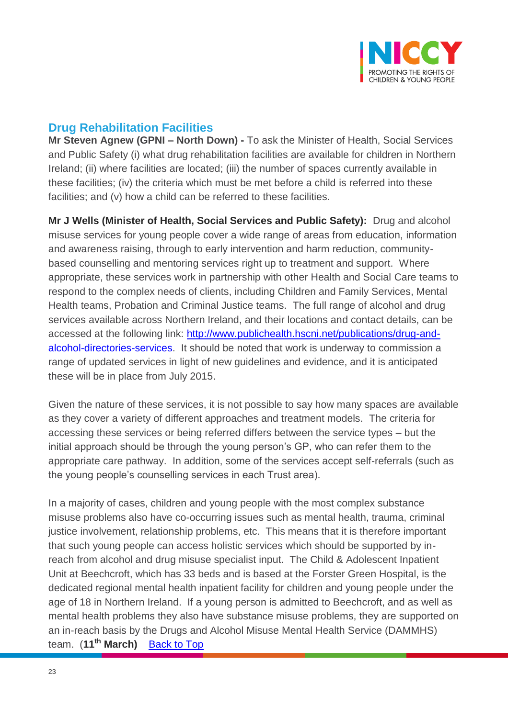

# <span id="page-22-0"></span>**Drug Rehabilitation Facilities**

**Mr Steven Agnew (GPNI – North Down) -** To ask the Minister of Health, Social Services and Public Safety (i) what drug rehabilitation facilities are available for children in Northern Ireland; (ii) where facilities are located; (iii) the number of spaces currently available in these facilities; (iv) the criteria which must be met before a child is referred into these facilities; and (v) how a child can be referred to these facilities.

**Mr J Wells (Minister of Health, Social Services and Public Safety):** Drug and alcohol misuse services for young people cover a wide range of areas from education, information and awareness raising, through to early intervention and harm reduction, communitybased counselling and mentoring services right up to treatment and support. Where appropriate, these services work in partnership with other Health and Social Care teams to respond to the complex needs of clients, including Children and Family Services, Mental Health teams, Probation and Criminal Justice teams. The full range of alcohol and drug services available across Northern Ireland, and their locations and contact details, can be accessed at the following link: [http://www.publichealth.hscni.net/publications/drug-and](http://www.publichealth.hscni.net/publications/drug-and-alcohol-directories-services)[alcohol-directories-services.](http://www.publichealth.hscni.net/publications/drug-and-alcohol-directories-services) It should be noted that work is underway to commission a range of updated services in light of new guidelines and evidence, and it is anticipated these will be in place from July 2015.

Given the nature of these services, it is not possible to say how many spaces are available as they cover a variety of different approaches and treatment models. The criteria for accessing these services or being referred differs between the service types – but the initial approach should be through the young person's GP, who can refer them to the appropriate care pathway. In addition, some of the services accept self-referrals (such as the young people's counselling services in each Trust area).

In a majority of cases, children and young people with the most complex substance misuse problems also have co-occurring issues such as mental health, trauma, criminal justice involvement, relationship problems, etc. This means that it is therefore important that such young people can access holistic services which should be supported by inreach from alcohol and drug misuse specialist input. The Child & Adolescent Inpatient Unit at Beechcroft, which has 33 beds and is based at the Forster Green Hospital, is the dedicated regional mental health inpatient facility for children and young people under the age of 18 in Northern Ireland. If a young person is admitted to Beechcroft, and as well as mental health problems they also have substance misuse problems, they are supported on an in-reach basis by the Drugs and Alcohol Misuse Mental Health Service (DAMMHS) team. (**11th March)** [Back to Top](#page-0-0)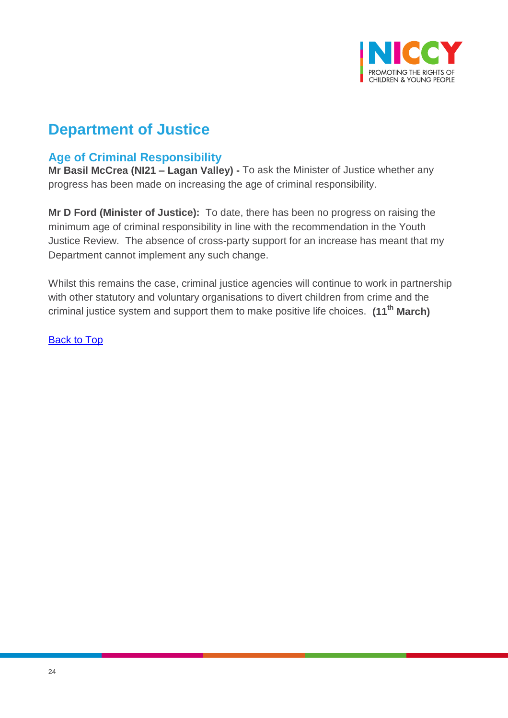

# **Department of Justice**

# <span id="page-23-0"></span>**Age of Criminal Responsibility**

**Mr Basil McCrea (NI21 – Lagan Valley) -** To ask the Minister of Justice whether any progress has been made on increasing the age of criminal responsibility.

**Mr D Ford (Minister of Justice):** To date, there has been no progress on raising the minimum age of criminal responsibility in line with the recommendation in the Youth Justice Review. The absence of cross-party support for an increase has meant that my Department cannot implement any such change.

Whilst this remains the case, criminal justice agencies will continue to work in partnership with other statutory and voluntary organisations to divert children from crime and the criminal justice system and support them to make positive life choices. **(11th March)**